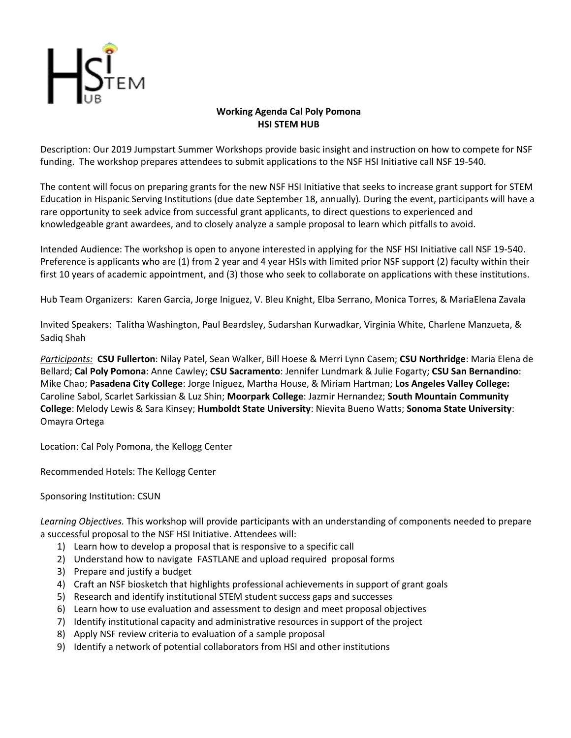

## **Working Agenda Cal Poly Pomona HSI STEM HUB**

Description: Our 2019 Jumpstart Summer Workshops provide basic insight and instruction on how to compete for NSF funding. The workshop prepares attendees to submit applications to the NSF HSI Initiative call NSF 19-540.

The content will focus on preparing grants for the new NSF HSI Initiative that seeks to increase grant support for STEM Education in Hispanic Serving Institutions (due date September 18, annually). During the event, participants will have a rare opportunity to seek advice from successful grant applicants, to direct questions to experienced and knowledgeable grant awardees, and to closely analyze a sample proposal to learn which pitfalls to avoid.

Intended Audience: The workshop is open to anyone interested in applying for the NSF HSI Initiative call NSF 19-540. Preference is applicants who are (1) from 2 year and 4 year HSIs with limited prior NSF support (2) faculty within their first 10 years of academic appointment, and (3) those who seek to collaborate on applications with these institutions.

Hub Team Organizers: Karen Garcia, Jorge Iniguez, V. Bleu Knight, Elba Serrano, Monica Torres, & MariaElena Zavala

Invited Speakers: Talitha Washington, Paul Beardsley, Sudarshan Kurwadkar, Virginia White, Charlene Manzueta, & Sadiq Shah

*Participants:* **CSU Fullerton**: Nilay Patel, Sean Walker, Bill Hoese & Merri Lynn Casem; **CSU Northridge**: Maria Elena de Bellard; **Cal Poly Pomona**: Anne Cawley; **CSU Sacramento**: Jennifer Lundmark & Julie Fogarty; **CSU San Bernandino**: Mike Chao; **Pasadena City College**: Jorge Iniguez, Martha House, & Miriam Hartman; **Los Angeles Valley College:** Caroline Sabol, Scarlet Sarkissian & Luz Shin; **Moorpark College**: Jazmir Hernandez; **South Mountain Community College**: Melody Lewis & Sara Kinsey; **Humboldt State University**: Nievita Bueno Watts; **Sonoma State University**: Omayra Ortega

Location: Cal Poly Pomona, the Kellogg Center

Recommended Hotels: The Kellogg Center

Sponsoring Institution: CSUN

*Learning Objectives.* This workshop will provide participants with an understanding of components needed to prepare a successful proposal to the NSF HSI Initiative. Attendees will:

- 1) Learn how to develop a proposal that is responsive to a specific call
- 2) Understand how to navigate FASTLANE and upload required proposal forms
- 3) Prepare and justify a budget
- 4) Craft an NSF biosketch that highlights professional achievements in support of grant goals
- 5) Research and identify institutional STEM student success gaps and successes
- 6) Learn how to use evaluation and assessment to design and meet proposal objectives
- 7) Identify institutional capacity and administrative resources in support of the project
- 8) Apply NSF review criteria to evaluation of a sample proposal
- 9) Identify a network of potential collaborators from HSI and other institutions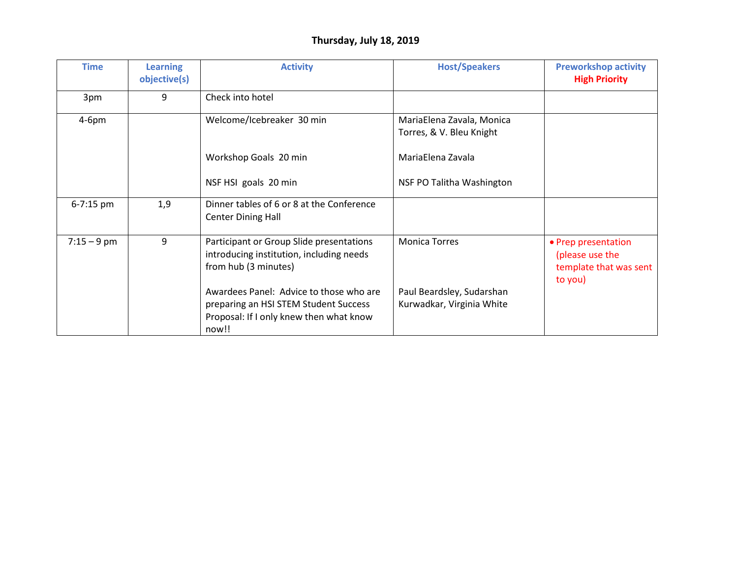## **Thursday, July 18, 2019**

| <b>Time</b>   | <b>Learning</b><br>objective(s) | <b>Activity</b>                                                                                                                      | <b>Host/Speakers</b>                                   | <b>Preworkshop activity</b><br><b>High Priority</b>                         |
|---------------|---------------------------------|--------------------------------------------------------------------------------------------------------------------------------------|--------------------------------------------------------|-----------------------------------------------------------------------------|
| 3pm           | 9                               | Check into hotel                                                                                                                     |                                                        |                                                                             |
| $4-6pm$       |                                 | Welcome/Icebreaker 30 min                                                                                                            | MariaElena Zavala, Monica<br>Torres, & V. Bleu Knight  |                                                                             |
|               |                                 | Workshop Goals 20 min                                                                                                                | MariaElena Zavala                                      |                                                                             |
|               |                                 | NSF HSI goals 20 min                                                                                                                 | NSF PO Talitha Washington                              |                                                                             |
| $6 - 7:15$ pm | 1,9                             | Dinner tables of 6 or 8 at the Conference<br><b>Center Dining Hall</b>                                                               |                                                        |                                                                             |
| $7:15 - 9$ pm | 9                               | Participant or Group Slide presentations<br>introducing institution, including needs<br>from hub (3 minutes)                         | <b>Monica Torres</b>                                   | • Prep presentation<br>(please use the<br>template that was sent<br>to you) |
|               |                                 | Awardees Panel: Advice to those who are<br>preparing an HSI STEM Student Success<br>Proposal: If I only knew then what know<br>now!! | Paul Beardsley, Sudarshan<br>Kurwadkar, Virginia White |                                                                             |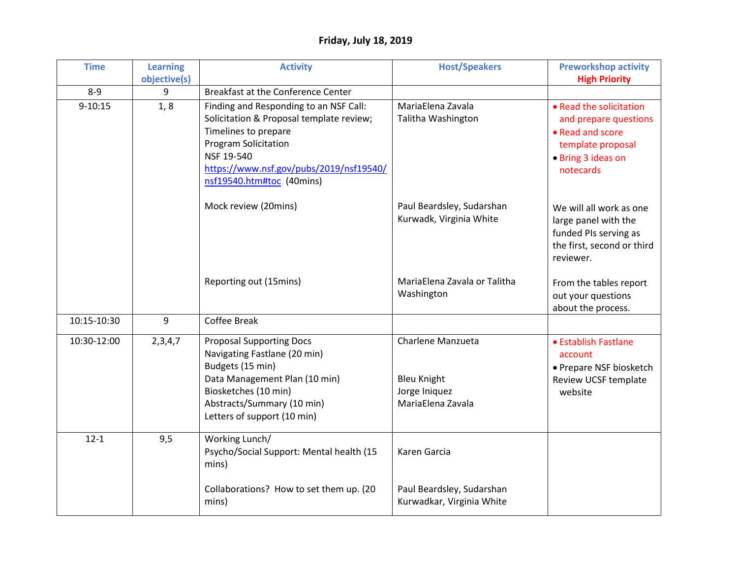## **Friday, July 18, 2019**

| <b>Time</b> | <b>Learning</b> | <b>Activity</b>                                                                                                                                                                                                                 | <b>Host/Speakers</b>                                                          | <b>Preworkshop activity</b>                                                                                                  |
|-------------|-----------------|---------------------------------------------------------------------------------------------------------------------------------------------------------------------------------------------------------------------------------|-------------------------------------------------------------------------------|------------------------------------------------------------------------------------------------------------------------------|
|             | objective(s)    |                                                                                                                                                                                                                                 |                                                                               | <b>High Priority</b>                                                                                                         |
| $8 - 9$     | 9               | <b>Breakfast at the Conference Center</b>                                                                                                                                                                                       |                                                                               |                                                                                                                              |
| $9 - 10:15$ | 1, 8            | Finding and Responding to an NSF Call:<br>Solicitation & Proposal template review;<br>Timelines to prepare<br><b>Program Solicitation</b><br>NSF 19-540<br>https://www.nsf.gov/pubs/2019/nsf19540/<br>nsf19540.htm#toc (40mins) | MariaElena Zavala<br>Talitha Washington                                       | • Read the solicitation<br>and prepare questions<br>• Read and score<br>template proposal<br>• Bring 3 ideas on<br>notecards |
|             |                 | Mock review (20mins)                                                                                                                                                                                                            | Paul Beardsley, Sudarshan<br>Kurwadk, Virginia White                          | We will all work as one<br>large panel with the<br>funded PIs serving as<br>the first, second or third<br>reviewer.          |
|             |                 | Reporting out (15mins)                                                                                                                                                                                                          | MariaElena Zavala or Talitha<br>Washington                                    | From the tables report<br>out your questions<br>about the process.                                                           |
| 10:15-10:30 | 9               | Coffee Break                                                                                                                                                                                                                    |                                                                               |                                                                                                                              |
| 10:30-12:00 | 2,3,4,7         | <b>Proposal Supporting Docs</b><br>Navigating Fastlane (20 min)<br>Budgets (15 min)<br>Data Management Plan (10 min)<br>Biosketches (10 min)<br>Abstracts/Summary (10 min)<br>Letters of support (10 min)                       | Charlene Manzueta<br><b>Bleu Knight</b><br>Jorge Iniquez<br>MariaElena Zavala | • Establish Fastlane<br>account<br>• Prepare NSF biosketch<br>Review UCSF template<br>website                                |
| $12 - 1$    | 9,5             | Working Lunch/<br>Psycho/Social Support: Mental health (15<br>mins)<br>Collaborations? How to set them up. (20                                                                                                                  | Karen Garcia<br>Paul Beardsley, Sudarshan                                     |                                                                                                                              |
|             |                 | mins)                                                                                                                                                                                                                           | Kurwadkar, Virginia White                                                     |                                                                                                                              |